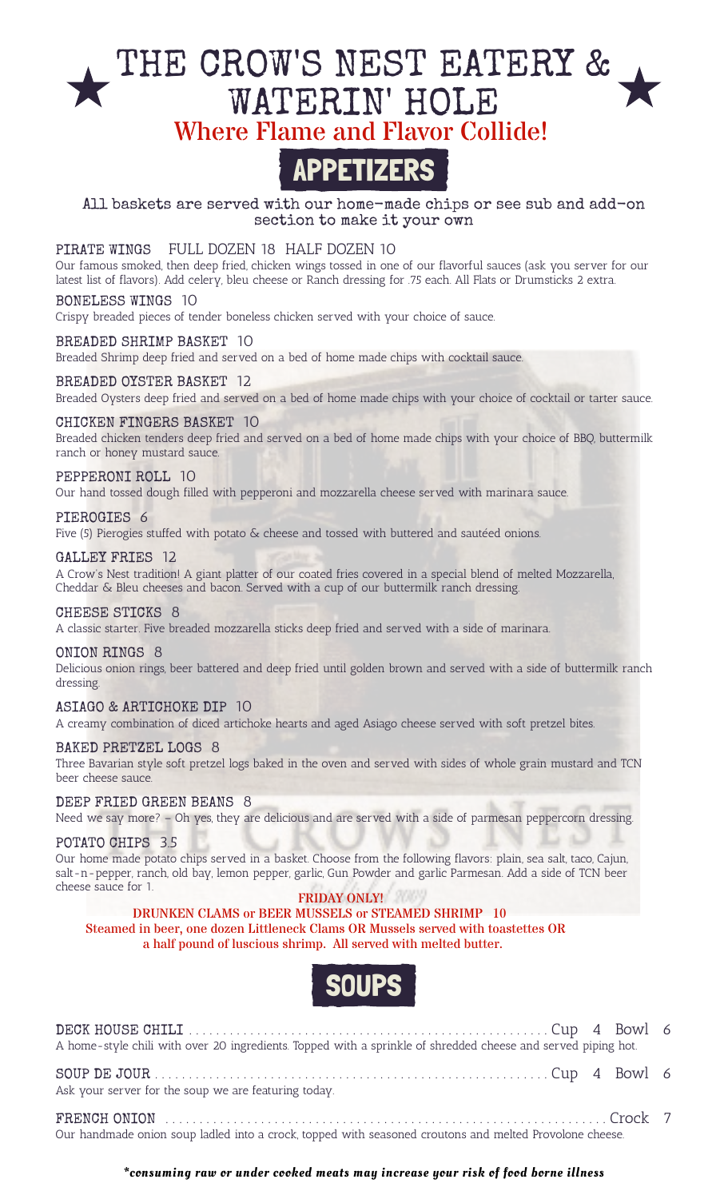# THE CROW'S NEST EATERY & WATERIN' HOLE Where Flame and Flavor Collide!

# APPETIZERS

All baskets are served with our home-made chips or see sub and add-on section to make it your own

# PIRATE WINGS FULL DOZEN 18 HALF DOZEN 10

Our famous smoked, then deep fried, chicken wings tossed in one of our flavorful sauces (ask you server for our latest list of flavors). Add celery, bleu cheese or Ranch dressing for .75 each. All Flats or Drumsticks 2 extra.

# BONELESS WINGS 10

Crispy breaded pieces of tender boneless chicken served with your choice of sauce.

### BREADED SHRIMP BASKET 10

Breaded Shrimp deep fried and served on a bed of home made chips with cocktail sauce.

#### BREADED OYSTER BASKET 12

Breaded Oysters deep fried and served on a bed of home made chips with your choice of cocktail or tarter sauce.

#### CHICKEN FINGERS BASKET 10

Breaded chicken tenders deep fried and served on a bed of home made chips with your choice of BBQ, buttermilk ranch or honey mustard sauce.

#### PEPPERONI ROLL 10

Our hand tossed dough filled with pepperoni and mozzarella cheese served with marinara sauce.

#### PIEROGIES 6

Five (5) Pierogies stuffed with potato & cheese and tossed with buttered and sautéed onions.

#### GALLEY FRIES 12

A Crow's Nest tradition! A giant platter of our coated fries covered in a special blend of melted Mozzarella, Cheddar & Bleu cheeses and bacon. Served with a cup of our buttermilk ranch dressing.

#### CHEESE STICKS 8

A classic starter. Five breaded mozzarella sticks deep fried and served with a side of marinara.

#### ONION RINGS 8

Delicious onion rings, beer battered and deep fried until golden brown and served with a side of buttermilk ranch dressing.

#### ASIAGO & ARTICHOKE DIP 10

A creamy combination of diced artichoke hearts and aged Asiago cheese served with soft pretzel bites.

#### BAKED PRETZEL LOGS 8

Three Bavarian style soft pretzel logs baked in the oven and served with sides of whole grain mustard and TCN beer cheese sauce.

# DEEP FRIED GREEN BEANS 8

Need we say more? – Oh yes, they are delicious and are served with a side of parmesan peppercorn dressing.

#### POTATO CHIPS 3.5

Our home made potato chips served in a basket. Choose from the following flavors: plain, sea salt, taco, Cajun, salt-n-pepper, ranch, old bay, lemon pepper, garlic, Gun Powder and garlic Parmesan. Add a side of TCN beer cheese sauce for 1.

### FRIDAY ONLY!

 DRUNKEN CLAMS or BEER MUSSELS or STEAMED SHRIMP 10 Steamed in beer, one dozen Littleneck Clams OR Mussels served with toastettes OR a half pound of luscious shrimp. All served with melted butter.



| A home-style chili with over 20 ingredients. Topped with a sprinkle of shredded cheese and served piping hot. |  |  |
|---------------------------------------------------------------------------------------------------------------|--|--|
| Ask your server for the soup we are featuring today.                                                          |  |  |
| Our handmade onion soup ladled into a crock, topped with seasoned croutons and melted Provolone cheese.       |  |  |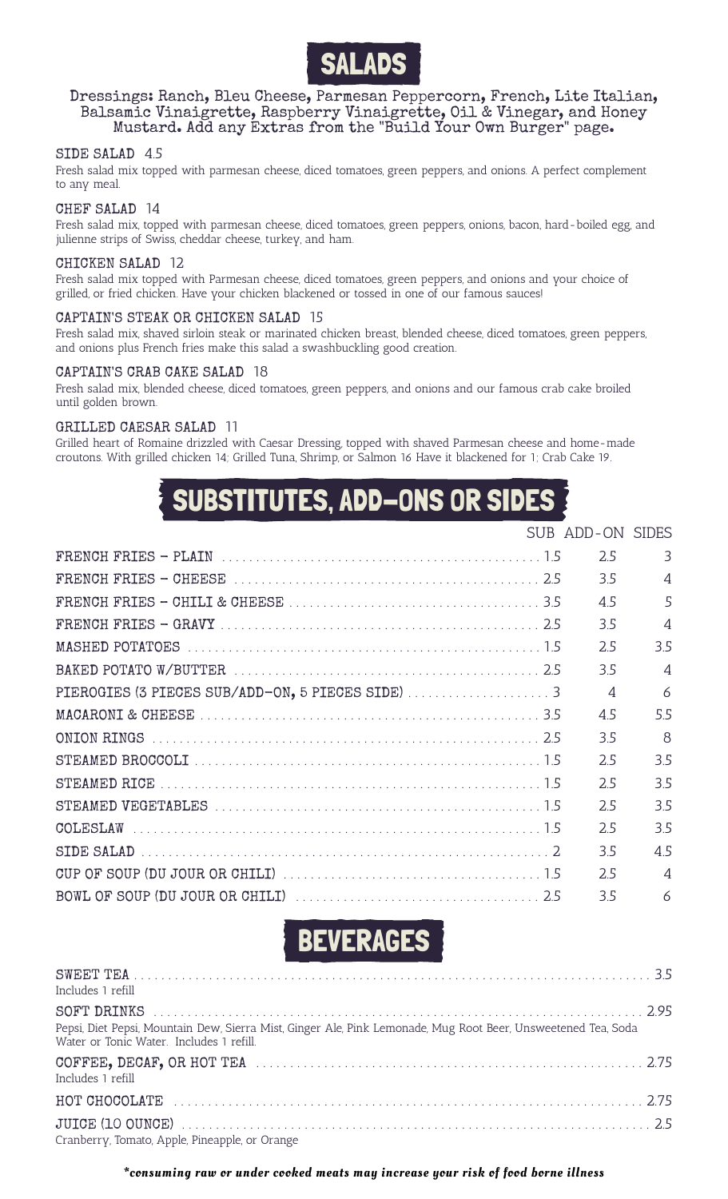

# Dressings: Ranch, Bleu Cheese, Parmesan Peppercorn, French, Lite Italian, Balsamic Vinaigrette, Raspberry Vinaigrette, Oil & Vinegar, and Honey Mustard. Add any Extras from the "Build Your Own Burger" page.

#### SIDE SALAD 4.5

Fresh salad mix topped with parmesan cheese, diced tomatoes, green peppers, and onions. A perfect complement to any meal.

### CHEF SALAD 14

Fresh salad mix, topped with parmesan cheese, diced tomatoes, green peppers, onions, bacon, hard-boiled egg, and julienne strips of Swiss, cheddar cheese, turkey, and ham.

#### CHICKEN SALAD 12

Fresh salad mix topped with Parmesan cheese, diced tomatoes, green peppers, and onions and your choice of grilled, or fried chicken. Have your chicken blackened or tossed in one of our famous sauces!

#### CAPTAIN'S STEAK OR CHICKEN SALAD 15

Fresh salad mix, shaved sirloin steak or marinated chicken breast, blended cheese, diced tomatoes, green peppers, and onions plus French fries make this salad a swashbuckling good creation.

#### CAPTAIN'S CRAB CAKE SALAD 18

Fresh salad mix, blended cheese, diced tomatoes, green peppers, and onions and our famous crab cake broiled until golden brown.

#### GRILLED CAESAR SALAD 11

Grilled heart of Romaine drizzled with Caesar Dressing, topped with shaved Parmesan cheese and home-made croutons. With grilled chicken 14; Grilled Tuna, Shrimp, or Salmon 16 Have it blackened for 1; Crab Cake 19.

# SUBSTITUTES, ADD-ONS OR SIDES

|  | SUB ADD-ON SIDES |                          |
|--|------------------|--------------------------|
|  | 2.5              | 3                        |
|  | 3.5              | $\overline{4}$           |
|  | 4.5              | 5                        |
|  | 3.5              | $\overline{\mathcal{A}}$ |
|  | 2.5              | 3.5                      |
|  | 3.5              | $\Delta$                 |
|  | $\overline{4}$   | 6                        |
|  | 4.5              | 5.5                      |
|  | 3.5              | $\mathcal{B}$            |
|  | 2.5              | 3.5                      |
|  | 2.5              | 3.5                      |
|  | 2.5              | 3.5                      |
|  | 2.5              | 3.5                      |
|  | 3.5              | 4.5                      |
|  | 2.5              | $\overline{A}$           |
|  | 3.5              | 6                        |

BEVERAGES

| Includes 1 refill                                                                                                                                         |  |
|-----------------------------------------------------------------------------------------------------------------------------------------------------------|--|
| Pepsi, Diet Pepsi, Mountain Dew, Sierra Mist, Ginger Ale, Pink Lemonade, Mug Root Beer, Unsweetened Tea, Soda<br>Water or Tonic Water. Includes 1 refill. |  |
| Includes 1 refill                                                                                                                                         |  |
|                                                                                                                                                           |  |
| Cranberry, Tomato, Apple, Pineapple, or Orange                                                                                                            |  |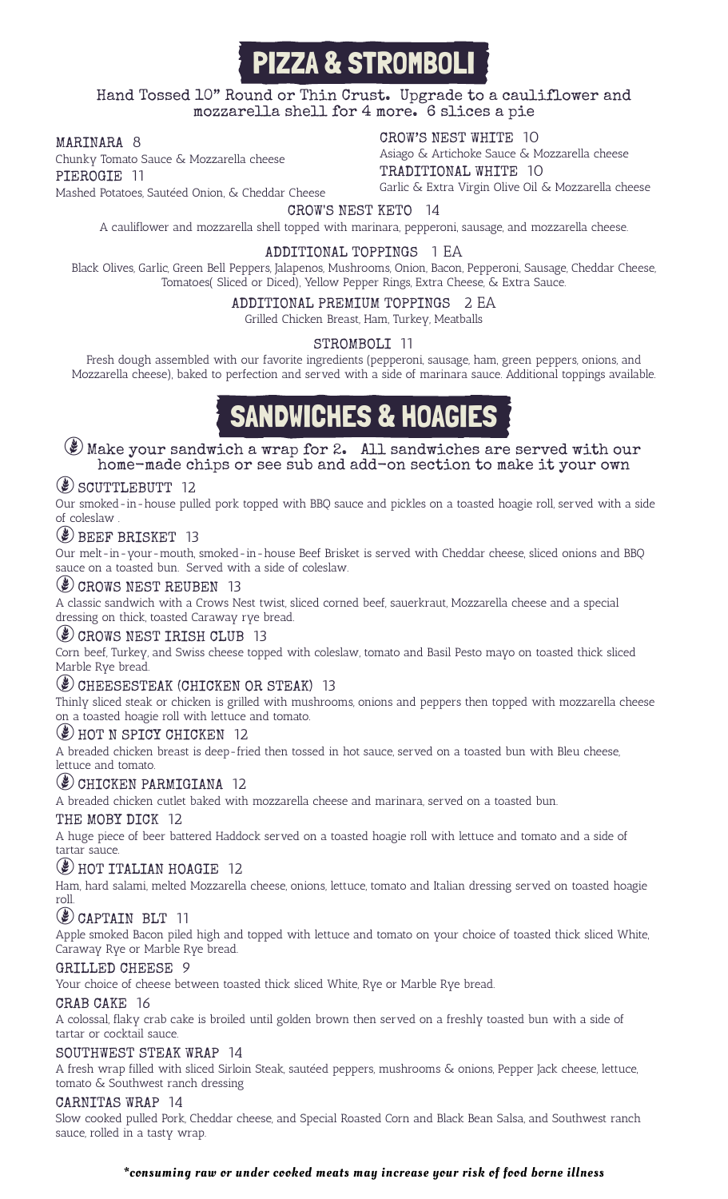# PIZZA & STROMBOLI

Hand Tossed 10" Round or Thin Crust. Upgrade to a cauliflower and mozzarella shell for 4 more. 6 slices a pie

# MARINARA 8

Chunky Tomato Sauce & Mozzarella cheese PIEROGIE 11 Mashed Potatoes, Sautéed Onion, & Cheddar Cheese CROW'S NEST WHITE 10

Asiago & Artichoke Sauce & Mozzarella cheese TRADITIONAL WHITE 10

Garlic & Extra Virgin Olive Oil & Mozzarella cheese

# CROW'S NEST KETO 14

A cauliflower and mozzarella shell topped with marinara, pepperoni, sausage, and mozzarella cheese.

# ADDITIONAL TOPPINGS 1 EA

Black Olives, Garlic, Green Bell Peppers, Jalapenos, Mushrooms, Onion, Bacon, Pepperoni, Sausage, Cheddar Cheese, Tomatoes( Sliced or Diced), Yellow Pepper Rings, Extra Cheese, & Extra Sauce.

# ADDITIONAL PREMIUM TOPPINGS 2 EA

Grilled Chicken Breast, Ham, Turkey, Meatballs

### STROMBOLI 11

Fresh dough assembled with our favorite ingredients (pepperoni, sausage, ham, green peppers, onions, and Mozzarella cheese), baked to perfection and served with a side of marinara sauce. Additional toppings available.

# SANDWICHES & HOAGIES

# $\mathcal{L}$  Make your sandwich a wrap for 2. All sandwiches are served with our home-made chips or see sub and add-on section to make it your own

# **(2) SCUTTLEBUTT 12**

Our smoked-in-house pulled pork topped with BBQ sauce and pickles on a toasted hoagie roll, served with a side of coleslaw .

# **(2) BEEF BRISKET 13**

Our melt-in-your-mouth, smoked-in-house Beef Brisket is served with Cheddar cheese, sliced onions and BBQ sauce on a toasted bun. Served with a side of coleslaw.

# $($ **)** CROWS NEST REUBEN 13

A classic sandwich with a Crows Nest twist, sliced corned beef, sauerkraut, Mozzarella cheese and a special dressing on thick, toasted Caraway rye bread.

# CROWS NEST IRISH CLUB 13

Corn beef, Turkey, and Swiss cheese topped with coleslaw, tomato and Basil Pesto mayo on toasted thick sliced Marble Rye bread.

# GUEESESTEAK (CHICKEN OR STEAK) 13

Thinly sliced steak or chicken is grilled with mushrooms, onions and peppers then topped with mozzarella cheese on a toasted hoagie roll with lettuce and tomato.

# **E** HOT N SPICY CHICKEN 12

A breaded chicken breast is deep-fried then tossed in hot sauce, served on a toasted bun with Bleu cheese, lettuce and tomato.

# äCHICKEN PARMIGIANA <sup>12</sup>

A breaded chicken cutlet baked with mozzarella cheese and marinara, served on a toasted bun.

# THE MOBY DICK 12

A huge piece of beer battered Haddock served on a toasted hoagie roll with lettuce and tomato and a side of tartar sauce.

# ( $\bullet$ ) HOT ITALIAN HOAGIE 12

Ham, hard salami, melted Mozzarella cheese, onions, lettuce, tomato and Italian dressing served on toasted hoagie roll.

# $\circ$  CAPTAIN BLT 11

Apple smoked Bacon piled high and topped with lettuce and tomato on your choice of toasted thick sliced White, Caraway Rye or Marble Rye bread.

# GRILLED CHEESE 9

Your choice of cheese between toasted thick sliced White, Rye or Marble Rye bread.

# CRAB CAKE 16

A colossal, flaky crab cake is broiled until golden brown then served on a freshly toasted bun with a side of tartar or cocktail sauce.

#### SOUTHWEST STEAK WRAP 14

A fresh wrap filled with sliced Sirloin Steak, sautéed peppers, mushrooms & onions, Pepper Jack cheese, lettuce, tomato & Southwest ranch dressing

#### CARNITAS WRAP 14

Slow cooked pulled Pork, Cheddar cheese, and Special Roasted Corn and Black Bean Salsa, and Southwest ranch sauce, rolled in a tasty wrap.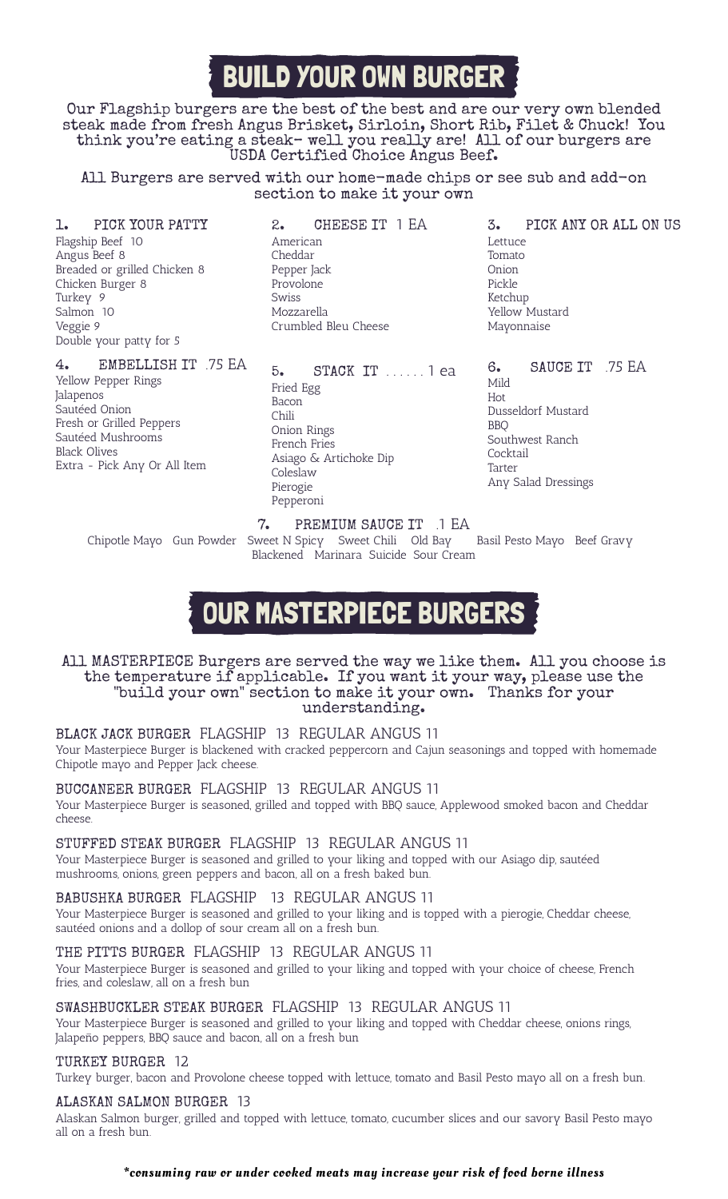# BUILD YOUR OWN BURGER

Our Flagship burgers are the best of the best and are our very own blended steak made from fresh Angus Brisket, Sirloin, Short Rib, Filet & Chuck! You think you're eating a steak– well you really are! All of our burgers are USDA Certified Choice Angus Beef.

All Burgers are served with our home-made chips or see sub and add-on section to make it your own

### 1. PICK YOUR PATTY

Flagship Beef 10 Angus Beef 8 Breaded or grilled Chicken 8 Chicken Burger 8 Turkey 9 Salmon 10 Veggie 9 Double your patty for 5

# 4. EMBELLISH IT .75 EA

Yellow Pepper Rings **Jalapenos** Sautéed Onion Fresh or Grilled Peppers Sautéed Mushrooms Black Olives Extra - Pick Any Or All Item

2. CHEESE IT 1 EA American Cheddar Pepper Jack Provolone Swiss Mozzarella Crumbled Bleu Cheese

5. STACK IT . . . . . . 1 ea Fried Egg Bacon Chili Onion Rings French Fries Asiago & Artichoke Dip Coleslaw Pierogie Pepperoni

3. PICK ANY OR ALL ON US Lettuce Tomato Onion Pickle Ketchup Yellow Mustard Mayonnaise

6. SAUCE IT .75 EA Mild Hot Dusseldorf Mustard BBQ Southwest Ranch Cocktail Tarter Any Salad Dressings

7. PREMIUM SAUCE IT .1 EA<br>weet N Spicy Sweet Chili Old Bay Basil Pesto Mayo Beef Gravy Chipotle Mayo Gun Powder Sweet N Spicy Sweet Chili Old Bay Blackened Marinara Suicide Sour Cream

# OUR MASTERPIECE BURGERS

#### All MASTERPIECE Burgers are served the way we like them. All you choose is the temperature if applicable. If you want it your way, please use the "build your own" section to make it your own. Thanks for your understanding.

# BLACK JACK BURGER FLAGSHIP 13 REGULAR ANGUS 11

Your Masterpiece Burger is blackened with cracked peppercorn and Cajun seasonings and topped with homemade Chipotle mayo and Pepper Jack cheese.

BUCCANEER BURGER FLAGSHIP 13 REGULAR ANGUS 11 Your Masterpiece Burger is seasoned, grilled and topped with BBQ sauce, Applewood smoked bacon and Cheddar cheese.

# STUFFED STEAK BURGER FLAGSHIP 13 REGULAR ANGUS 11

Your Masterpiece Burger is seasoned and grilled to your liking and topped with our Asiago dip, sautéed mushrooms, onions, green peppers and bacon, all on a fresh baked bun.

# BABUSHKA BURGER FLAGSHIP 13 REGULAR ANGUS 11

Your Masterpiece Burger is seasoned and grilled to your liking and is topped with a pierogie, Cheddar cheese, sautéed onions and a dollop of sour cream all on a fresh bun.

# THE PITTS BURGER FLAGSHIP 13 REGULAR ANGUS 11

Your Masterpiece Burger is seasoned and grilled to your liking and topped with your choice of cheese, French fries, and coleslaw, all on a fresh bun

#### SWASHBUCKLER STEAK BURGER FLAGSHIP 13 REGULAR ANGUS 11

Your Masterpiece Burger is seasoned and grilled to your liking and topped with Cheddar cheese, onions rings, Jalapeño peppers, BBQ sauce and bacon, all on a fresh bun

#### TURKEY BURGER 12

Turkey burger, bacon and Provolone cheese topped with lettuce, tomato and Basil Pesto mayo all on a fresh bun.

#### ALASKAN SALMON BURGER 13

Alaskan Salmon burger, grilled and topped with lettuce, tomato, cucumber slices and our savory Basil Pesto mayo all on a fresh bun.